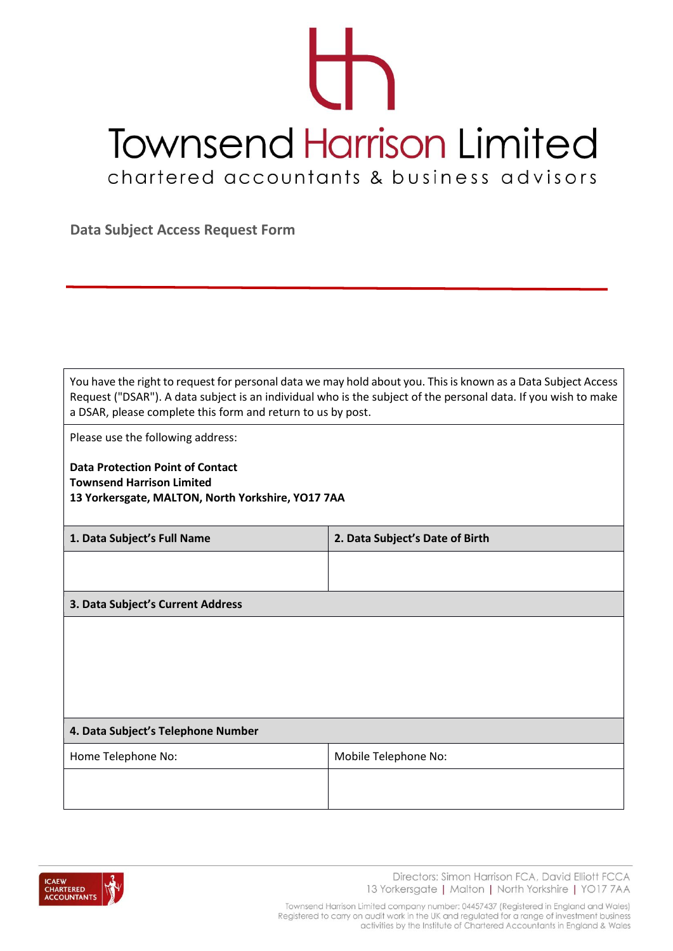## T **Townsend Harrison Limited** chartered accountants & business advisors

**Data Subject Access Request Form**

You have the right to request for personal data we may hold about you. This is known as a Data Subject Access Request ("DSAR"). A data subject is an individual who is the subject of the personal data. If you wish to make a DSAR, please complete this form and return to us by post.

Please use the following address:

**Data Protection Point of Contact Townsend Harrison Limited 13 Yorkersgate, MALTON, North Yorkshire, YO17 7AA**

| 1. Data Subject's Full Name        | 2. Data Subject's Date of Birth |
|------------------------------------|---------------------------------|
|                                    |                                 |
|                                    |                                 |
| 3. Data Subject's Current Address  |                                 |
|                                    |                                 |
|                                    |                                 |
|                                    |                                 |
|                                    |                                 |
|                                    |                                 |
| 4. Data Subject's Telephone Number |                                 |

| Home Telephone No: | Mobile Telephone No: |
|--------------------|----------------------|
|                    |                      |